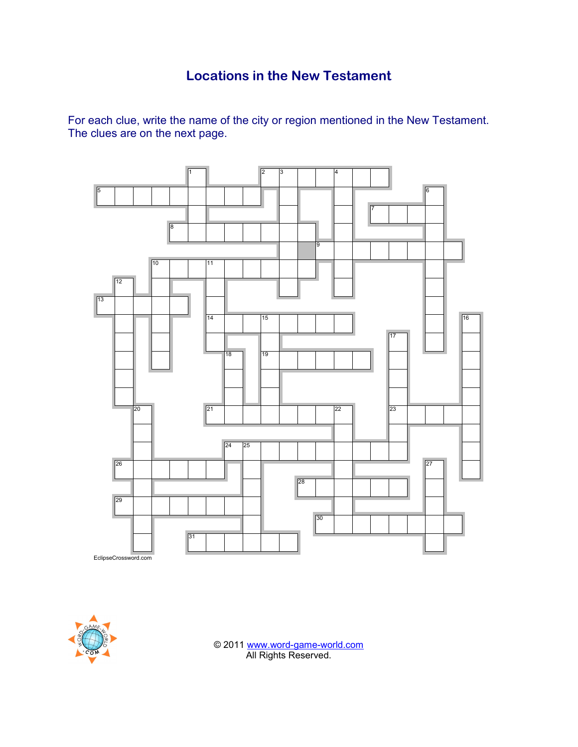## **Locations in the New Testament**

For each clue, write the name of the city or region mentioned in the New Testament. The clues are on the next page.





© 2011 www.word-game-world.com All Rights Reserved.